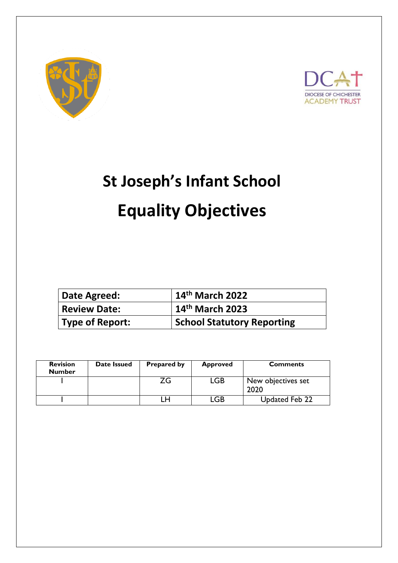



# **St Joseph's Infant School Equality Objectives**

| Date Agreed:           | $14th$ March 2022                 |
|------------------------|-----------------------------------|
| <b>Review Date:</b>    | $14$ <sup>th</sup> March 2023     |
| <b>Type of Report:</b> | <b>School Statutory Reporting</b> |

| <b>Revision</b><br><b>Number</b> | Date Issued | <b>Prepared by</b> | <b>Approved</b> | <b>Comments</b>            |
|----------------------------------|-------------|--------------------|-----------------|----------------------------|
|                                  |             | ZG                 | <b>LGB</b>      | New objectives set<br>2020 |
|                                  |             |                    | .GB             | Updated Feb 22             |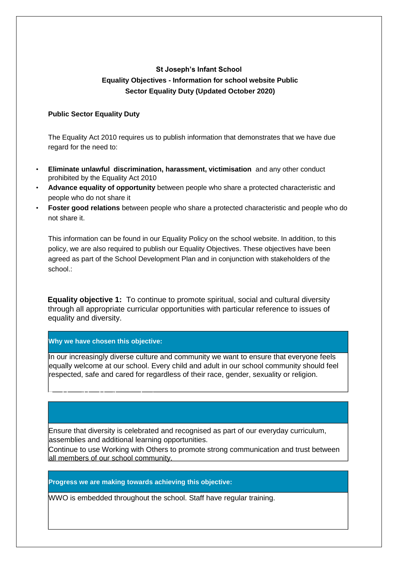## **St Joseph's Infant School Equality Objectives - Information for school website Public Sector Equality Duty (Updated October 2020)**

#### **Public Sector Equality Duty**

The Equality Act 2010 requires us to publish information that demonstrates that we have due regard for the need to:

- **Eliminate unlawful discrimination, harassment, victimisation** and any other conduct prohibited by the Equality Act 2010
- **Advance equality of opportunity** between people who share a protected characteristic and people who do not share it
- **Foster good relations** between people who share a protected characteristic and people who do not share it.

This information can be found in our Equality Policy on the school website. In addition, to this policy, we are also required to publish our Equality Objectives. These objectives have been agreed as part of the School Development Plan and in conjunction with stakeholders of the school :

**Equality objective 1:** To continue to promote spiritual, social and cultural diversity through all appropriate curricular opportunities with particular reference to issues of equality and diversity.

#### **Why we have chosen this objective:**

**To chieve the chief objective we plan to:**<br>This objective we plan to:

 $\overline{a}$ 

l,

In our increasingly diverse culture and community we want to ensure that everyone feels lequally welcome at our school. Every child and adult in our school community should feel respected, safe and cared for regardless of their race, gender, sexuality or religion.

Ensure that diversity is celebrated and recognised as part of our everyday curriculum, assemblies and additional learning opportunities.

Continue to use Working with Others to promote strong communication and trust between all members of our school community.

**Progress we are making towards achieving this objective:**

WWO is embedded throughout the school. Staff have regular training.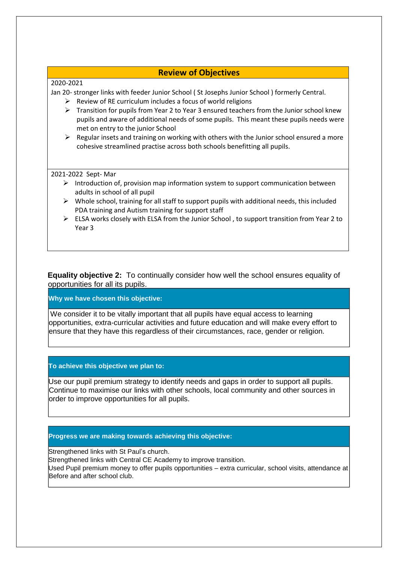## **Review of Objectives**

#### 2020-2021

Jan 20- stronger links with feeder Junior School ( St Josephs Junior School ) formerly Central.

- $\triangleright$  Review of RE curriculum includes a focus of world religions
- $\triangleright$  Transition for pupils from Year 2 to Year 3 ensured teachers from the Junior school knew pupils and aware of additional needs of some pupils. This meant these pupils needs were met on entry to the junior School
- $\triangleright$  Regular insets and training on working with others with the Junior school ensured a more cohesive streamlined practise across both schools benefitting all pupils.

2021-2022 Sept- Mar

- $\triangleright$  Introduction of, provision map information system to support communication between adults in school of all pupil
- $\triangleright$  Whole school, training for all staff to support pupils with additional needs, this included PDA training and Autism training for support staff
- $\triangleright$  ELSA works closely with ELSA from the Junior School, to support transition from Year 2 to Year 3

**Equality objective 2:** To continually consider how well the school ensures equality of opportunities for all its pupils.

**Why we have chosen this objective:**

We consider it to be vitally important that all pupils have equal access to learning opportunities, extra-curricular activities and future education and will make every effort to ensure that they have this regardless of their circumstances, race, gender or religion.

**To achieve this objective we plan to:**

Use our pupil premium strategy to identify needs and gaps in order to support all pupils. Continue to maximise our links with other schools, local community and other sources in order to improve opportunities for all pupils.

### **Progress we are making towards achieving this objective:**

Strengthened links with St Paul's church.

 $\overline{a}$ 

Strengthened links with Central CE Academy to improve transition.

Used Pupil premium money to offer pupils opportunities – extra curricular, school visits, attendance at Before and after school club.